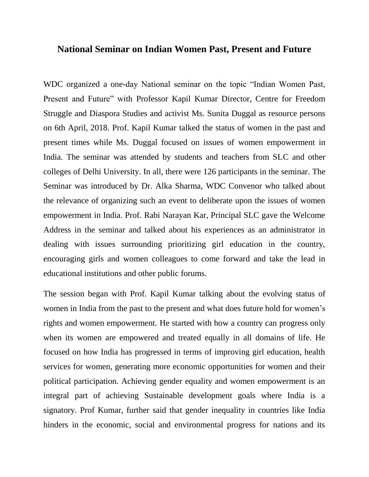## **National Seminar on Indian Women Past, Present and Future**

WDC organized a one-day National seminar on the topic "Indian Women Past, Present and Future" with Professor Kapil Kumar Director, Centre for Freedom Struggle and Diaspora Studies and activist Ms. Sunita Duggal as resource persons on 6th April, 2018. Prof. Kapil Kumar talked the status of women in the past and present times while Ms. Duggal focused on issues of women empowerment in India. The seminar was attended by students and teachers from SLC and other colleges of Delhi University. In all, there were 126 participants in the seminar. The Seminar was introduced by Dr. Alka Sharma, WDC Convenor who talked about the relevance of organizing such an event to deliberate upon the issues of women empowerment in India. Prof. Rabi Narayan Kar, Principal SLC gave the Welcome Address in the seminar and talked about his experiences as an administrator in dealing with issues surrounding prioritizing girl education in the country, encouraging girls and women colleagues to come forward and take the lead in educational institutions and other public forums.

The session began with Prof. Kapil Kumar talking about the evolving status of women in India from the past to the present and what does future hold for women's rights and women empowerment. He started with how a country can progress only when its women are empowered and treated equally in all domains of life. He focused on how India has progressed in terms of improving girl education, health services for women, generating more economic opportunities for women and their political participation. Achieving gender equality and women empowerment is an integral part of achieving Sustainable development goals where India is a signatory. Prof Kumar, further said that gender inequality in countries like India hinders in the economic, social and environmental progress for nations and its